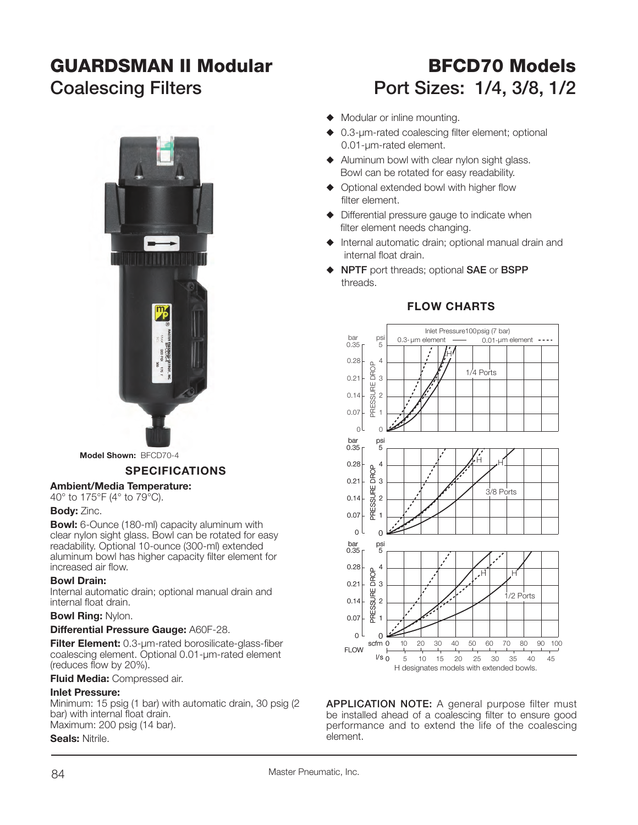# **GUARDSMAN II Modular**



**Model Shown:** BFCD70-4

#### **SPECIFICATIONS**

#### **Ambient/Media Temperature:**

40° to 175°F (4° to 79°C).

#### **Body:** Zinc.

**Bowl:** 6-Ounce (180-ml) capacity aluminum with clear nylon sight glass. Bowl can be rotated for easy readability. Optional 10-ounce (300-ml) extended aluminum bowl has higher capacity filter element for increased air flow.

#### **Bowl Drain:**

Internal automatic drain; optional manual drain and internal float drain.

#### **Bowl Ring:** Nylon.

#### **Differential Pressure Gauge:** A60F-28.

**Filter Element:** 0.3-um-rated borosilicate-glass-fiber coalescing element. Optional 0.01-µm-rated element  $($ reduces flow by 20%).

#### **Fluid Media:** Compressed air.

#### **Inlet Pressure:**

Minimum: 15 psig (1 bar) with automatic drain, 30 psig (2 bar) with internal float drain. Maximum: 200 psig (14 bar).

#### **Seals:** Nitrile.

# **BFCD70 ModelsCoalescing Filters Port Sizes: 1/4, 3/8, 1/2**

- $\blacklozenge$  Modular or inline mounting.
- $\triangle$  0.3-um-rated coalescing filter element; optional 0.01-µm-rated element.
- $\blacklozenge$  Aluminum bowl with clear nylon sight glass. Bowl can be rotated for easy readability.
- $\triangle$  Optional extended bowl with higher flow filter element.
- $\blacklozenge$  Differential pressure gauge to indicate when filter element needs changing.
- $\triangle$  Internal automatic drain; optional manual drain and internal float drain.
- S **NPTF** port threads; optional **SAE** or **BSPP** threads.



#### **FLOW CHARTS**

**APPLICATION NOTE:** A general purpose filter must be installed ahead of a coalescing filter to ensure good performance and to extend the life of the coalescing element.